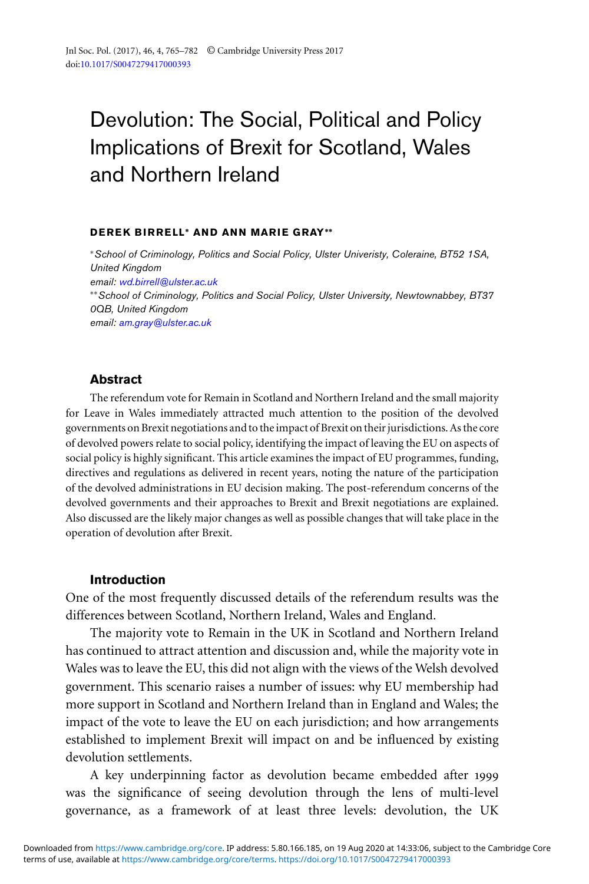# Devolution: The Social, Political and Policy Implications of Brexit for Scotland, Wales and Northern Ireland

#### **DEREK BIRRELL∗ AN D AN N MAR IE G RAY∗∗**

<sup>∗</sup>*School of Criminology, Politics and Social Policy, Ulster Univeristy, Coleraine, BT52 1SA, United Kingdom email: [wd.birrell@ulster.ac.uk](mailto:wd.birrell@ulster.ac.uk)* ∗∗*School of Criminology, Politics and Social Policy, Ulster University, Newtownabbey, BT37 0QB, United Kingdom email: [am.gray@ulster.ac.uk](mailto:am.gray@ulster.ac.uk)*

#### **Abstract**

The referendum vote for Remain in Scotland and Northern Ireland and the small majority for Leave in Wales immediately attracted much attention to the position of the devolved governments on Brexit negotiations and to the impact of Brexit on their jurisdictions. As the core of devolved powers relate to social policy, identifying the impact of leaving the EU on aspects of social policy is highly significant. This article examines the impact of EU programmes, funding, directives and regulations as delivered in recent years, noting the nature of the participation of the devolved administrations in EU decision making. The post-referendum concerns of the devolved governments and their approaches to Brexit and Brexit negotiations are explained. Also discussed are the likely major changes as well as possible changes that will take place in the operation of devolution after Brexit.

#### **Introduction**

One of the most frequently discussed details of the referendum results was the differences between Scotland, Northern Ireland, Wales and England.

The majority vote to Remain in the UK in Scotland and Northern Ireland has continued to attract attention and discussion and, while the majority vote in Wales was to leave the EU, this did not align with the views of the Welsh devolved government. This scenario raises a number of issues: why EU membership had more support in Scotland and Northern Ireland than in England and Wales; the impact of the vote to leave the EU on each jurisdiction; and how arrangements established to implement Brexit will impact on and be influenced by existing devolution settlements.

A key underpinning factor as devolution became embedded after 1999 was the significance of seeing devolution through the lens of multi-level governance, as a framework of at least three levels: devolution, the UK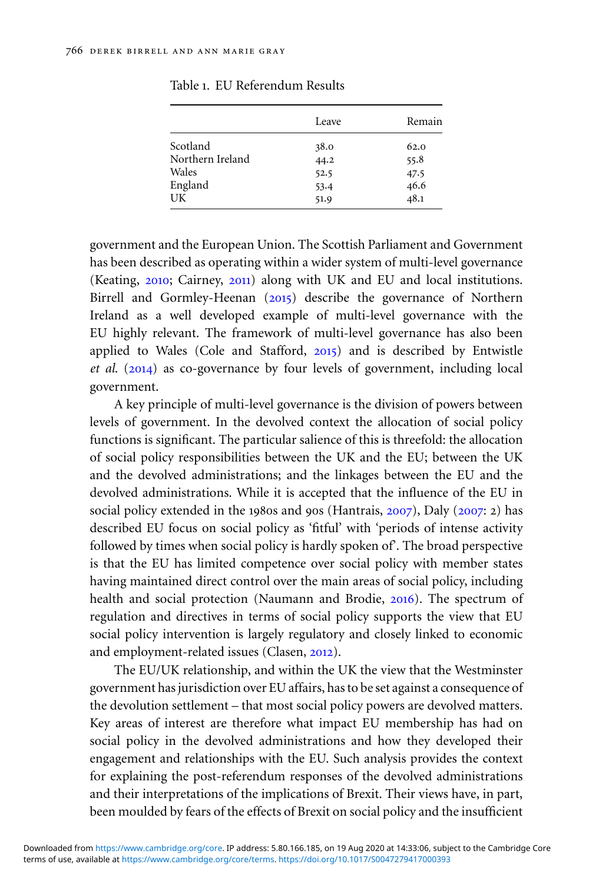|                  | Leave | Remain |
|------------------|-------|--------|
| Scotland         | 38.0  | 62.0   |
| Northern Ireland | 44.2  | 55.8   |
| Wales            | 52.5  | 47.5   |
|                  | 53.4  | 46.6   |
| UK               | 51.9  | 48.1   |
| England          |       |        |

<span id="page-1-0"></span>Table 1. EU Referendum Results

government and the European Union. The Scottish Parliament and Government has been described as operating within a wider system of multi-level governance (Keating, [2010](#page-16-0); Cairney, [2011](#page-15-0)) along with UK and EU and local institutions. Birrell and Gormley-Heenan ([2015](#page-15-0)) describe the governance of Northern Ireland as a well developed example of multi-level governance with the EU highly relevant. The framework of multi-level governance has also been applied to Wales (Cole and Stafford, [2015](#page-15-0)) and is described by Entwistle *et al*. ([2014](#page-15-0)) as co-governance by four levels of government, including local government.

A key principle of multi-level governance is the division of powers between levels of government. In the devolved context the allocation of social policy functions is significant. The particular salience of this is threefold: the allocation of social policy responsibilities between the UK and the EU; between the UK and the devolved administrations; and the linkages between the EU and the devolved administrations. While it is accepted that the influence of the EU in social policy extended in the 1980s and 90s (Hantrais, [2007](#page-15-0)), Daly ([2007](#page-15-0): 2) has described EU focus on social policy as 'fitful' with 'periods of intense activity followed by times when social policy is hardly spoken of'. The broad perspective is that the EU has limited competence over social policy with member states having maintained direct control over the main areas of social policy, including health and social protection (Naumann and Brodie, [2016](#page-16-0)). The spectrum of regulation and directives in terms of social policy supports the view that EU social policy intervention is largely regulatory and closely linked to economic and employment-related issues (Clasen, [2012](#page-15-0)).

The EU/UK relationship, and within the UK the view that the Westminster government has jurisdiction over EU affairs, has to be set against a consequence of the devolution settlement – that most social policy powers are devolved matters. Key areas of interest are therefore what impact EU membership has had on social policy in the devolved administrations and how they developed their engagement and relationships with the EU. Such analysis provides the context for explaining the post-referendum responses of the devolved administrations and their interpretations of the implications of Brexit. Their views have, in part, been moulded by fears of the effects of Brexit on social policy and the insufficient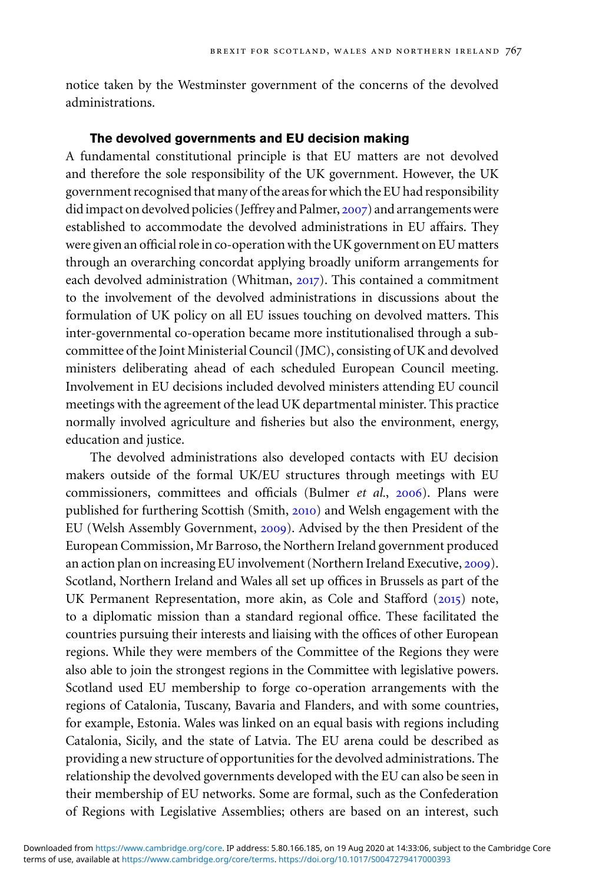notice taken by the Westminster government of the concerns of the devolved administrations.

# **The devolved governments and EU decision making**

A fundamental constitutional principle is that EU matters are not devolved and therefore the sole responsibility of the UK government. However, the UK government recognised that many of the areas for which the EU had responsibility did impact on devolved policies (Jeffrey and Palmer, [2007](#page-15-0)) and arrangements were established to accommodate the devolved administrations in EU affairs. They were given an official role in co-operation with the UK government on EU matters through an overarching concordat applying broadly uniform arrangements for each devolved administration (Whitman, [2017](#page-17-0)). This contained a commitment to the involvement of the devolved administrations in discussions about the formulation of UK policy on all EU issues touching on devolved matters. This inter-governmental co-operation became more institutionalised through a subcommittee of the Joint Ministerial Council (JMC), consisting of UK and devolved ministers deliberating ahead of each scheduled European Council meeting. Involvement in EU decisions included devolved ministers attending EU council meetings with the agreement of the lead UK departmental minister. This practice normally involved agriculture and fisheries but also the environment, energy, education and justice.

The devolved administrations also developed contacts with EU decision makers outside of the formal UK/EU structures through meetings with EU commissioners, committees and officials (Bulmer *et al.*, [2006](#page-15-0)). Plans were published for furthering Scottish (Smith, [2010](#page-16-0)) and Welsh engagement with the EU (Welsh Assembly Government, [2009](#page-17-0)). Advised by the then President of the European Commission, Mr Barroso, the Northern Ireland government produced an action plan on increasing EU involvement (Northern Ireland Executive, [2009](#page-16-0)). Scotland, Northern Ireland and Wales all set up offices in Brussels as part of the UK Permanent Representation, more akin, as Cole and Stafford ([2015](#page-15-0)) note, to a diplomatic mission than a standard regional office. These facilitated the countries pursuing their interests and liaising with the offices of other European regions. While they were members of the Committee of the Regions they were also able to join the strongest regions in the Committee with legislative powers. Scotland used EU membership to forge co-operation arrangements with the regions of Catalonia, Tuscany, Bavaria and Flanders, and with some countries, for example, Estonia. Wales was linked on an equal basis with regions including Catalonia, Sicily, and the state of Latvia. The EU arena could be described as providing a new structure of opportunities for the devolved administrations. The relationship the devolved governments developed with the EU can also be seen in their membership of EU networks. Some are formal, such as the Confederation of Regions with Legislative Assemblies; others are based on an interest, such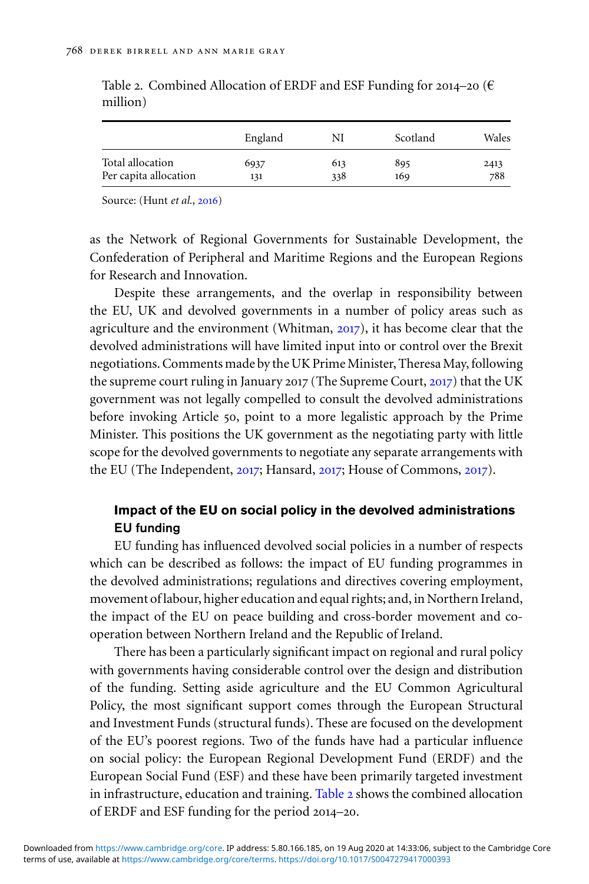|                       | England | NI  | Scotland | Wales |
|-----------------------|---------|-----|----------|-------|
| Total allocation      | 6937    | 613 | 895      | 2413  |
| Per capita allocation | 131     | 338 | 169      | 788   |

Table 2. Combined Allocation of ERDF and ESF Funding for 2014–20 ( $\epsilon$ ) million)

Source: (Hunt *et al.*, [2016](#page-15-0))

as the Network of Regional Governments for Sustainable Development, the Confederation of Peripheral and Maritime Regions and the European Regions for Research and Innovation.

Despite these arrangements, and the overlap in responsibility between the EU, UK and devolved governments in a number of policy areas such as agriculture and the environment (Whitman, [2017](#page-17-0)), it has become clear that the devolved administrations will have limited input into or control over the Brexit negotiations. Comments made by the UK Prime Minister, Theresa May, following the supreme court ruling in January 2017 (The Supreme Court, [2017](#page-16-0)) that the UK government was not legally compelled to consult the devolved administrations before invoking Article 50, point to a more legalistic approach by the Prime Minister. This positions the UK government as the negotiating party with little scope for the devolved governments to negotiate any separate arrangements with the EU (The Independent, [2017](#page-16-0); Hansard, [2017](#page-15-0); House of Commons, [2017](#page-15-0)).

# **Impact of the EU on social policy in the devolved administrations EU funding**

EU funding has influenced devolved social policies in a number of respects which can be described as follows: the impact of EU funding programmes in the devolved administrations; regulations and directives covering employment, movement of labour, higher education and equal rights; and, in Northern Ireland, the impact of the EU on peace building and cross-border movement and cooperation between Northern Ireland and the Republic of Ireland.

There has been a particularly significant impact on regional and rural policy with governments having considerable control over the design and distribution of the funding. Setting aside agriculture and the EU Common Agricultural Policy, the most significant support comes through the European Structural and Investment Funds (structural funds). These are focused on the development of the EU's poorest regions. Two of the funds have had a particular influence on social policy: the European Regional Development Fund (ERDF) and the European Social Fund (ESF) and these have been primarily targeted investment in infrastructure, education and training. Table 2 shows the combined allocation of ERDF and ESF funding for the period 2014–20.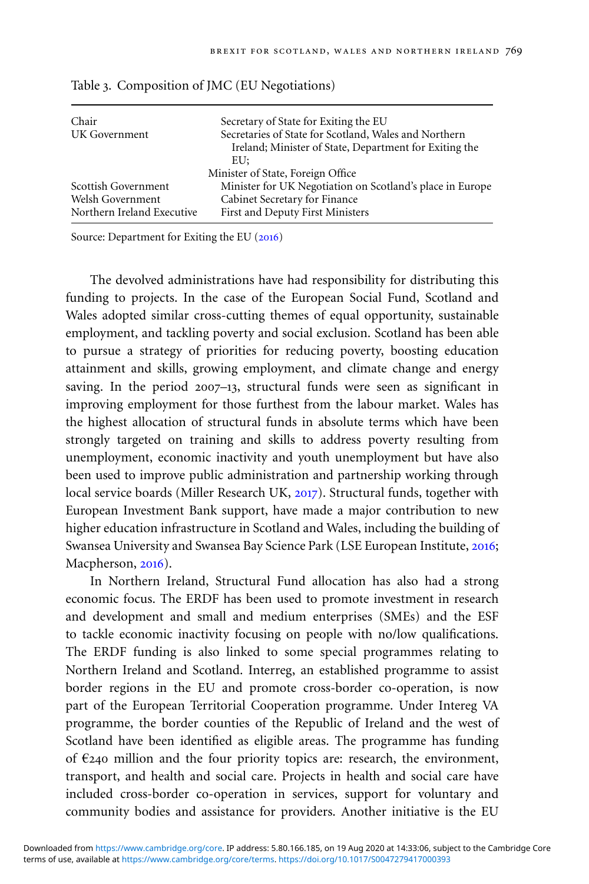| Chair<br>UK Government                         | Secretary of State for Exiting the EU<br>Secretaries of State for Scotland, Wales and Northern<br>Ireland; Minister of State, Department for Exiting the<br>EU: |
|------------------------------------------------|-----------------------------------------------------------------------------------------------------------------------------------------------------------------|
| Scottish Government                            | Minister of State, Foreign Office<br>Minister for UK Negotiation on Scotland's place in Europe                                                                  |
| Welsh Government<br>Northern Ireland Executive | Cabinet Secretary for Finance<br>First and Deputy First Ministers                                                                                               |

Table 3. Composition of JMC (EU Negotiations)

Source: Department for Exiting the EU ([2016](#page-15-0))

The devolved administrations have had responsibility for distributing this funding to projects. In the case of the European Social Fund, Scotland and Wales adopted similar cross-cutting themes of equal opportunity, sustainable employment, and tackling poverty and social exclusion. Scotland has been able to pursue a strategy of priorities for reducing poverty, boosting education attainment and skills, growing employment, and climate change and energy saving. In the period 2007–13, structural funds were seen as significant in improving employment for those furthest from the labour market. Wales has the highest allocation of structural funds in absolute terms which have been strongly targeted on training and skills to address poverty resulting from unemployment, economic inactivity and youth unemployment but have also been used to improve public administration and partnership working through local service boards (Miller Research UK, [2017](#page-16-0)). Structural funds, together with European Investment Bank support, have made a major contribution to new higher education infrastructure in Scotland and Wales, including the building of Swansea University and Swansea Bay Science Park (LSE European Institute, [2016](#page-16-0); Macpherson, [2016](#page-16-0)).

In Northern Ireland, Structural Fund allocation has also had a strong economic focus. The ERDF has been used to promote investment in research and development and small and medium enterprises (SMEs) and the ESF to tackle economic inactivity focusing on people with no/low qualifications. The ERDF funding is also linked to some special programmes relating to Northern Ireland and Scotland. Interreg, an established programme to assist border regions in the EU and promote cross-border co-operation, is now part of the European Territorial Cooperation programme. Under Intereg VA programme, the border counties of the Republic of Ireland and the west of Scotland have been identified as eligible areas. The programme has funding of  $E_{240}$  million and the four priority topics are: research, the environment, transport, and health and social care. Projects in health and social care have included cross-border co-operation in services, support for voluntary and community bodies and assistance for providers. Another initiative is the EU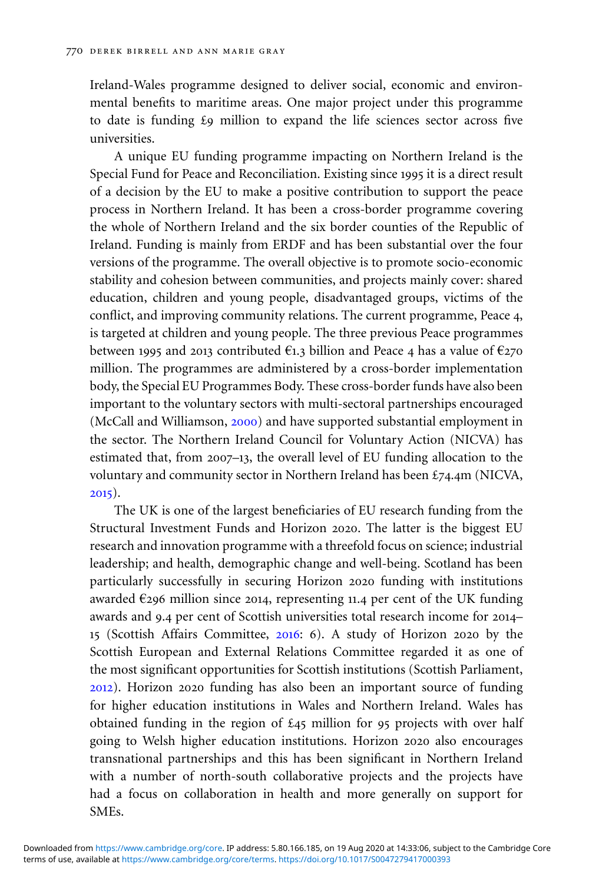Ireland-Wales programme designed to deliver social, economic and environmental benefits to maritime areas. One major project under this programme to date is funding £9 million to expand the life sciences sector across five universities.

A unique EU funding programme impacting on Northern Ireland is the Special Fund for Peace and Reconciliation. Existing since 1995 it is a direct result of a decision by the EU to make a positive contribution to support the peace process in Northern Ireland. It has been a cross-border programme covering the whole of Northern Ireland and the six border counties of the Republic of Ireland. Funding is mainly from ERDF and has been substantial over the four versions of the programme. The overall objective is to promote socio-economic stability and cohesion between communities, and projects mainly cover: shared education, children and young people, disadvantaged groups, victims of the conflict, and improving community relations. The current programme, Peace 4, is targeted at children and young people. The three previous Peace programmes between 1995 and 2013 contributed  $\epsilon_{1,3}$  billion and Peace 4 has a value of  $\epsilon_{2,70}$ million. The programmes are administered by a cross-border implementation body, the Special EU Programmes Body. These cross-border funds have also been important to the voluntary sectors with multi-sectoral partnerships encouraged (McCall and Williamson, [2000](#page-16-0)) and have supported substantial employment in the sector. The Northern Ireland Council for Voluntary Action (NICVA) has estimated that, from 2007–13, the overall level of EU funding allocation to the voluntary and community sector in Northern Ireland has been £74.4m (NICVA, [2015](#page-16-0)).

The UK is one of the largest beneficiaries of EU research funding from the Structural Investment Funds and Horizon 2020. The latter is the biggest EU research and innovation programme with a threefold focus on science; industrial leadership; and health, demographic change and well-being. Scotland has been particularly successfully in securing Horizon 2020 funding with institutions awarded  $\epsilon$ 296 million since 2014, representing 11.4 per cent of the UK funding awards and 9.4 per cent of Scottish universities total research income for 2014– 15 (Scottish Affairs Committee, [2016](#page-16-0): 6). A study of Horizon 2020 by the Scottish European and External Relations Committee regarded it as one of the most significant opportunities for Scottish institutions (Scottish Parliament, [2012](#page-16-0)). Horizon 2020 funding has also been an important source of funding for higher education institutions in Wales and Northern Ireland. Wales has obtained funding in the region of  $\pounds$ 45 million for 95 projects with over half going to Welsh higher education institutions. Horizon 2020 also encourages transnational partnerships and this has been significant in Northern Ireland with a number of north-south collaborative projects and the projects have had a focus on collaboration in health and more generally on support for SMEs.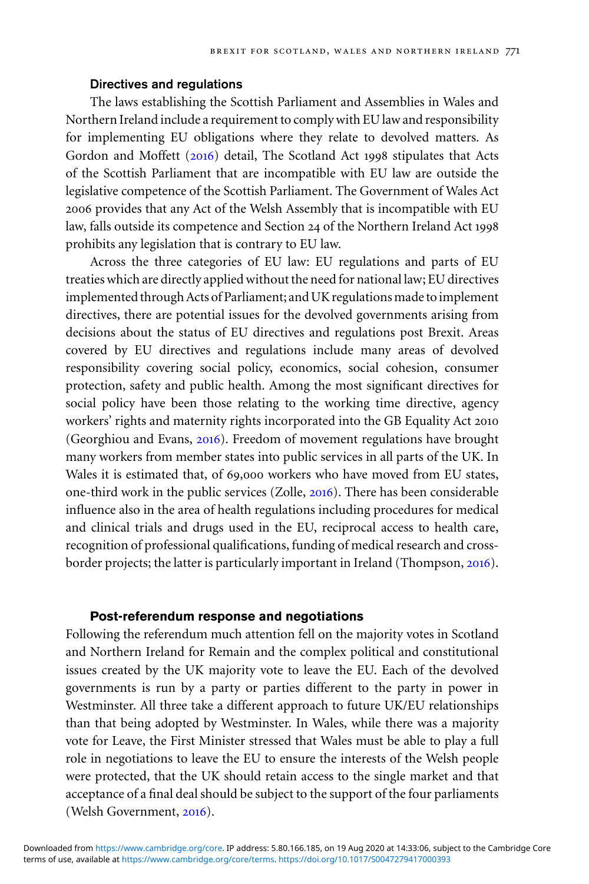## **Directives and regulations**

The laws establishing the Scottish Parliament and Assemblies in Wales and Northern Ireland include a requirement to comply with EU law and responsibility for implementing EU obligations where they relate to devolved matters. As Gordon and Moffett ([2016](#page-15-0)) detail, The Scotland Act 1998 stipulates that Acts of the Scottish Parliament that are incompatible with EU law are outside the legislative competence of the Scottish Parliament. The Government of Wales Act 2006 provides that any Act of the Welsh Assembly that is incompatible with EU law, falls outside its competence and Section 24 of the Northern Ireland Act 1998 prohibits any legislation that is contrary to EU law.

Across the three categories of EU law: EU regulations and parts of EU treaties which are directly applied without the need for national law; EU directives implemented through Acts of Parliament; and UK regulations made to implement directives, there are potential issues for the devolved governments arising from decisions about the status of EU directives and regulations post Brexit. Areas covered by EU directives and regulations include many areas of devolved responsibility covering social policy, economics, social cohesion, consumer protection, safety and public health. Among the most significant directives for social policy have been those relating to the working time directive, agency workers' rights and maternity rights incorporated into the GB Equality Act 2010 (Georghiou and Evans, [2016](#page-15-0)). Freedom of movement regulations have brought many workers from member states into public services in all parts of the UK. In Wales it is estimated that, of 69,000 workers who have moved from EU states, one-third work in the public services (Zolle, [2016](#page-17-0)). There has been considerable influence also in the area of health regulations including procedures for medical and clinical trials and drugs used in the EU, reciprocal access to health care, recognition of professional qualifications, funding of medical research and crossborder projects; the latter is particularly important in Ireland (Thompson, [2016](#page-17-0)).

## **Post-referendum response and negotiations**

Following the referendum much attention fell on the majority votes in Scotland and Northern Ireland for Remain and the complex political and constitutional issues created by the UK majority vote to leave the EU. Each of the devolved governments is run by a party or parties different to the party in power in Westminster. All three take a different approach to future UK/EU relationships than that being adopted by Westminster. In Wales, while there was a majority vote for Leave, the First Minister stressed that Wales must be able to play a full role in negotiations to leave the EU to ensure the interests of the Welsh people were protected, that the UK should retain access to the single market and that acceptance of a final deal should be subject to the support of the four parliaments (Welsh Government, [2016](#page-17-0)).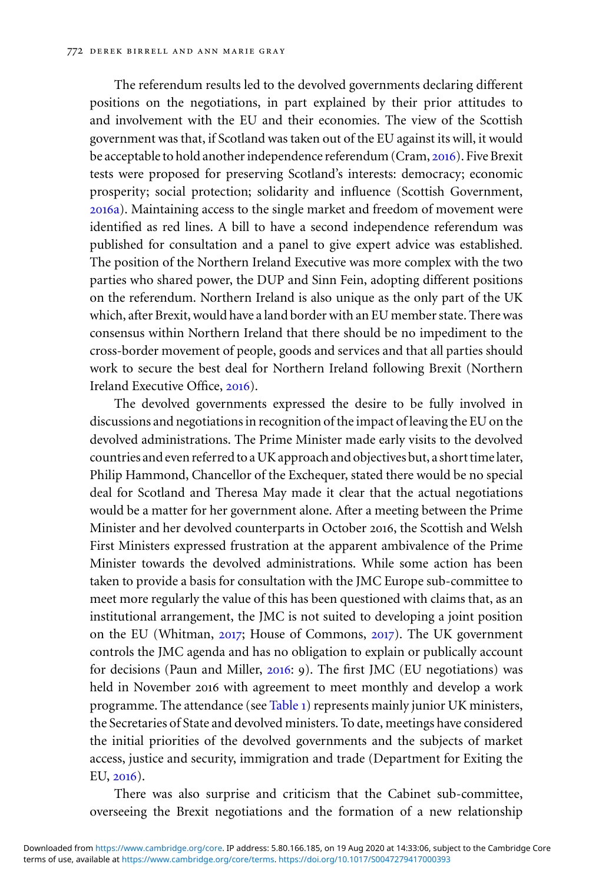The referendum results led to the devolved governments declaring different positions on the negotiations, in part explained by their prior attitudes to and involvement with the EU and their economies. The view of the Scottish government was that, if Scotland was taken out of the EU against its will, it would be acceptable to hold another independence referendum (Cram, [2016](#page-15-0)). Five Brexit tests were proposed for preserving Scotland's interests: democracy; economic prosperity; social protection; solidarity and influence (Scottish Government, [2016](#page-16-0)a). Maintaining access to the single market and freedom of movement were identified as red lines. A bill to have a second independence referendum was published for consultation and a panel to give expert advice was established. The position of the Northern Ireland Executive was more complex with the two parties who shared power, the DUP and Sinn Fein, adopting different positions on the referendum. Northern Ireland is also unique as the only part of the UK which, after Brexit, would have a land border with an EU member state. There was consensus within Northern Ireland that there should be no impediment to the cross-border movement of people, goods and services and that all parties should work to secure the best deal for Northern Ireland following Brexit (Northern Ireland Executive Office, [2016](#page-16-0)).

The devolved governments expressed the desire to be fully involved in discussions and negotiations in recognition of the impact of leaving the EU on the devolved administrations. The Prime Minister made early visits to the devolved countries and even referred to a UK approach and objectives but, a short time later, Philip Hammond, Chancellor of the Exchequer, stated there would be no special deal for Scotland and Theresa May made it clear that the actual negotiations would be a matter for her government alone. After a meeting between the Prime Minister and her devolved counterparts in October 2016, the Scottish and Welsh First Ministers expressed frustration at the apparent ambivalence of the Prime Minister towards the devolved administrations. While some action has been taken to provide a basis for consultation with the JMC Europe sub-committee to meet more regularly the value of this has been questioned with claims that, as an institutional arrangement, the JMC is not suited to developing a joint position on the EU (Whitman, [2017](#page-17-0); House of Commons, [2017](#page-15-0)). The UK government controls the JMC agenda and has no obligation to explain or publically account for decisions (Paun and Miller, [2016](#page-16-0): 9). The first JMC (EU negotiations) was held in November 2016 with agreement to meet monthly and develop a work programme. The attendance (see [Table](#page-1-0) 1) represents mainly junior UK ministers, the Secretaries of State and devolved ministers. To date, meetings have considered the initial priorities of the devolved governments and the subjects of market access, justice and security, immigration and trade (Department for Exiting the EU, [2016](#page-15-0)).

There was also surprise and criticism that the Cabinet sub-committee, overseeing the Brexit negotiations and the formation of a new relationship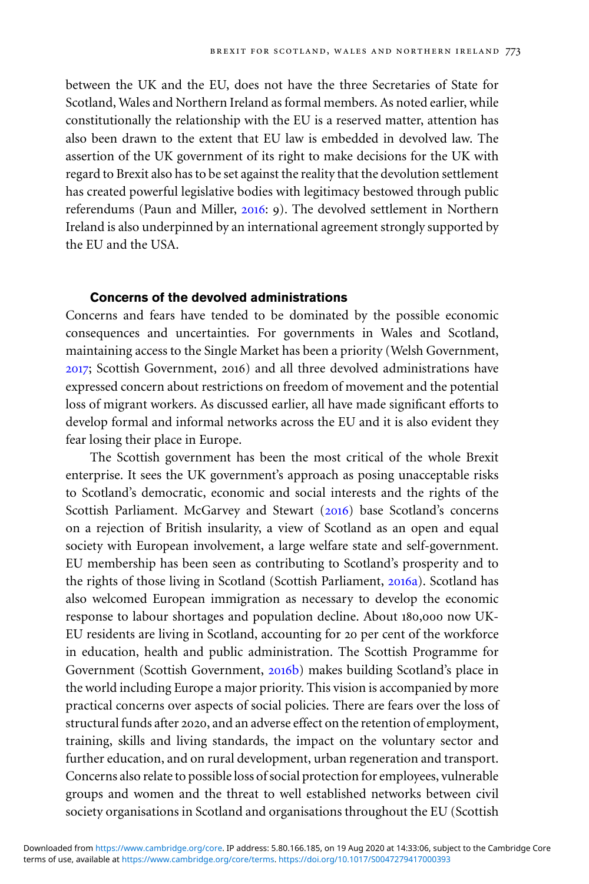between the UK and the EU, does not have the three Secretaries of State for Scotland, Wales and Northern Ireland as formal members. As noted earlier, while constitutionally the relationship with the EU is a reserved matter, attention has also been drawn to the extent that EU law is embedded in devolved law. The assertion of the UK government of its right to make decisions for the UK with regard to Brexit also has to be set against the reality that the devolution settlement has created powerful legislative bodies with legitimacy bestowed through public referendums (Paun and Miller, [2016](#page-16-0): 9). The devolved settlement in Northern Ireland is also underpinned by an international agreement strongly supported by the EU and the USA.

## **Concerns of the devolved administrations**

Concerns and fears have tended to be dominated by the possible economic consequences and uncertainties. For governments in Wales and Scotland, maintaining access to the Single Market has been a priority (Welsh Government, [2017](#page-17-0); Scottish Government, 2016) and all three devolved administrations have expressed concern about restrictions on freedom of movement and the potential loss of migrant workers. As discussed earlier, all have made significant efforts to develop formal and informal networks across the EU and it is also evident they fear losing their place in Europe.

The Scottish government has been the most critical of the whole Brexit enterprise. It sees the UK government's approach as posing unacceptable risks to Scotland's democratic, economic and social interests and the rights of the Scottish Parliament. McGarvey and Stewart ([2016](#page-16-0)) base Scotland's concerns on a rejection of British insularity, a view of Scotland as an open and equal society with European involvement, a large welfare state and self-government. EU membership has been seen as contributing to Scotland's prosperity and to the rights of those living in Scotland (Scottish Parliament, [2016](#page-16-0)a). Scotland has also welcomed European immigration as necessary to develop the economic response to labour shortages and population decline. About 180,000 now UK-EU residents are living in Scotland, accounting for 20 per cent of the workforce in education, health and public administration. The Scottish Programme for Government (Scottish Government, [2016](#page-16-0)b) makes building Scotland's place in the world including Europe a major priority. This vision is accompanied by more practical concerns over aspects of social policies. There are fears over the loss of structural funds after 2020, and an adverse effect on the retention of employment, training, skills and living standards, the impact on the voluntary sector and further education, and on rural development, urban regeneration and transport. Concerns also relate to possible loss of social protection for employees, vulnerable groups and women and the threat to well established networks between civil society organisations in Scotland and organisations throughout the EU (Scottish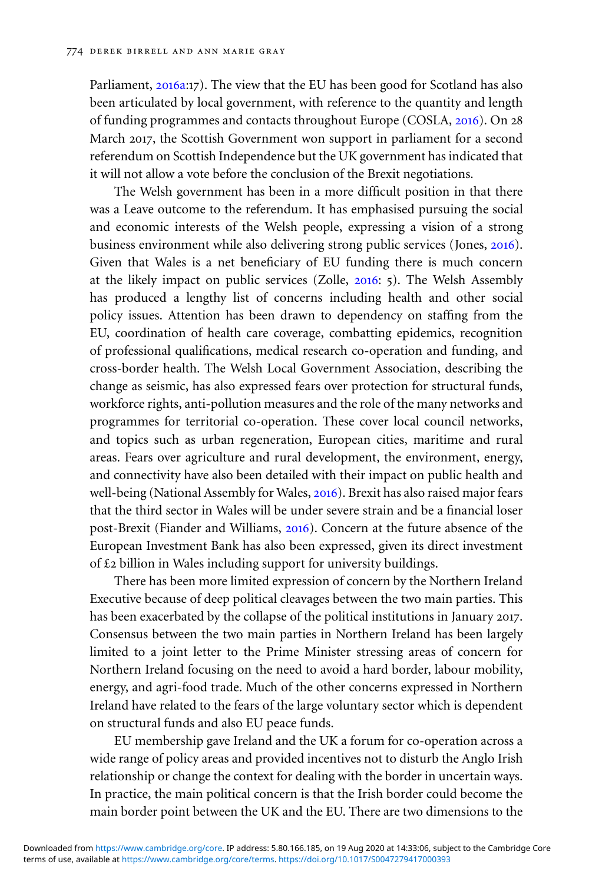Parliament, [2016](#page-16-0)a:17). The view that the EU has been good for Scotland has also been articulated by local government, with reference to the quantity and length of funding programmes and contacts throughout Europe (COSLA, [2016](#page-15-0)). On 28 March 2017, the Scottish Government won support in parliament for a second referendum on Scottish Independence but the UK government has indicated that it will not allow a vote before the conclusion of the Brexit negotiations.

The Welsh government has been in a more difficult position in that there was a Leave outcome to the referendum. It has emphasised pursuing the social and economic interests of the Welsh people, expressing a vision of a strong business environment while also delivering strong public services (Jones, [2016](#page-15-0)). Given that Wales is a net beneficiary of EU funding there is much concern at the likely impact on public services (Zolle, [2016](#page-17-0): 5). The Welsh Assembly has produced a lengthy list of concerns including health and other social policy issues. Attention has been drawn to dependency on staffing from the EU, coordination of health care coverage, combatting epidemics, recognition of professional qualifications, medical research co-operation and funding, and cross-border health. The Welsh Local Government Association, describing the change as seismic, has also expressed fears over protection for structural funds, workforce rights, anti-pollution measures and the role of the many networks and programmes for territorial co-operation. These cover local council networks, and topics such as urban regeneration, European cities, maritime and rural areas. Fears over agriculture and rural development, the environment, energy, and connectivity have also been detailed with their impact on public health and well-being (National Assembly for Wales, [2016](#page-16-0)). Brexit has also raised major fears that the third sector in Wales will be under severe strain and be a financial loser post-Brexit (Fiander and Williams, [2016](#page-15-0)). Concern at the future absence of the European Investment Bank has also been expressed, given its direct investment of £2 billion in Wales including support for university buildings.

There has been more limited expression of concern by the Northern Ireland Executive because of deep political cleavages between the two main parties. This has been exacerbated by the collapse of the political institutions in January 2017. Consensus between the two main parties in Northern Ireland has been largely limited to a joint letter to the Prime Minister stressing areas of concern for Northern Ireland focusing on the need to avoid a hard border, labour mobility, energy, and agri-food trade. Much of the other concerns expressed in Northern Ireland have related to the fears of the large voluntary sector which is dependent on structural funds and also EU peace funds.

EU membership gave Ireland and the UK a forum for co-operation across a wide range of policy areas and provided incentives not to disturb the Anglo Irish relationship or change the context for dealing with the border in uncertain ways. In practice, the main political concern is that the Irish border could become the main border point between the UK and the EU. There are two dimensions to the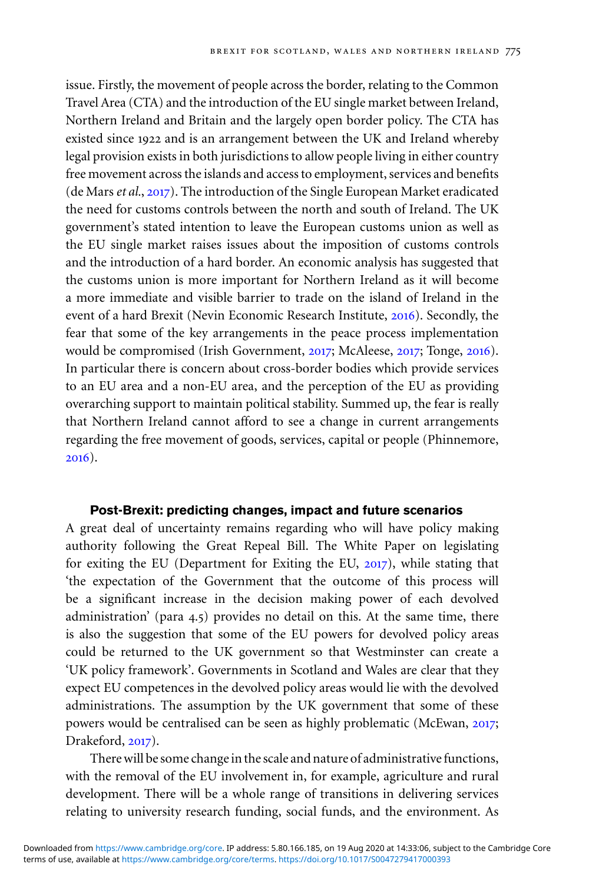issue. Firstly, the movement of people across the border, relating to the Common Travel Area (CTA) and the introduction of the EU single market between Ireland, Northern Ireland and Britain and the largely open border policy. The CTA has existed since 1922 and is an arrangement between the UK and Ireland whereby legal provision exists in both jurisdictions to allow people living in either country free movement across the islands and access to employment, services and benefits (de Mars*et al.*, [2017](#page-15-0)). The introduction of the Single European Market eradicated the need for customs controls between the north and south of Ireland. The UK government's stated intention to leave the European customs union as well as the EU single market raises issues about the imposition of customs controls and the introduction of a hard border. An economic analysis has suggested that the customs union is more important for Northern Ireland as it will become a more immediate and visible barrier to trade on the island of Ireland in the event of a hard Brexit (Nevin Economic Research Institute, [2016](#page-16-0)). Secondly, the fear that some of the key arrangements in the peace process implementation would be compromised (Irish Government, [2017](#page-15-0); McAleese, [2017](#page-16-0); Tonge, [2016](#page-17-0)). In particular there is concern about cross-border bodies which provide services to an EU area and a non-EU area, and the perception of the EU as providing overarching support to maintain political stability. Summed up, the fear is really that Northern Ireland cannot afford to see a change in current arrangements regarding the free movement of goods, services, capital or people (Phinnemore, [2016](#page-16-0)).

## **Post-Brexit: predicting changes, impact and future scenarios**

A great deal of uncertainty remains regarding who will have policy making authority following the Great Repeal Bill. The White Paper on legislating for exiting the EU (Department for Exiting the EU, [2017](#page-15-0)), while stating that 'the expectation of the Government that the outcome of this process will be a significant increase in the decision making power of each devolved administration' (para 4.5) provides no detail on this. At the same time, there is also the suggestion that some of the EU powers for devolved policy areas could be returned to the UK government so that Westminster can create a 'UK policy framework'. Governments in Scotland and Wales are clear that they expect EU competences in the devolved policy areas would lie with the devolved administrations. The assumption by the UK government that some of these powers would be centralised can be seen as highly problematic (McEwan, [2017](#page-16-0); Drakeford, [2017](#page-15-0)).

There will be some change in the scale and nature of administrative functions, with the removal of the EU involvement in, for example, agriculture and rural development. There will be a whole range of transitions in delivering services relating to university research funding, social funds, and the environment. As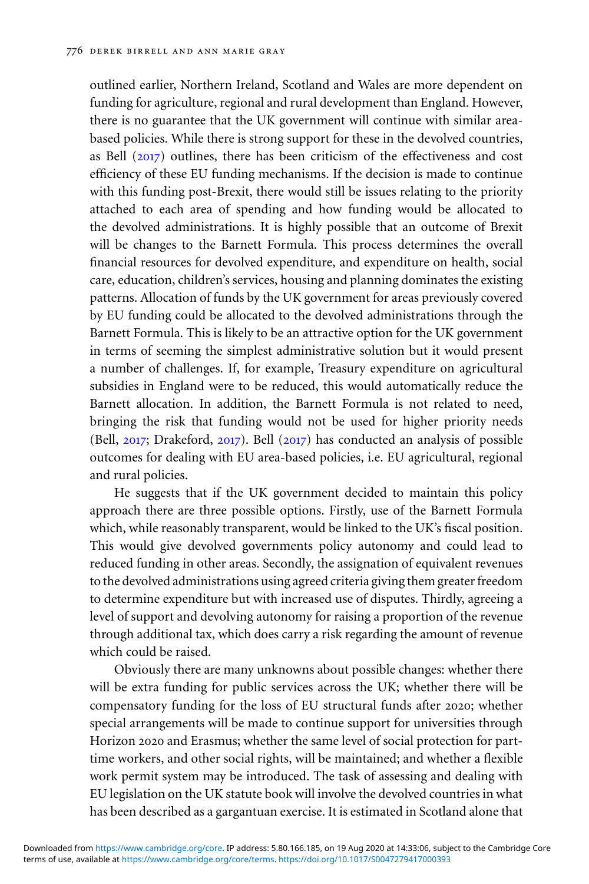outlined earlier, Northern Ireland, Scotland and Wales are more dependent on funding for agriculture, regional and rural development than England. However, there is no guarantee that the UK government will continue with similar areabased policies. While there is strong support for these in the devolved countries, as Bell ([2017](#page-14-0)) outlines, there has been criticism of the effectiveness and cost efficiency of these EU funding mechanisms. If the decision is made to continue with this funding post-Brexit, there would still be issues relating to the priority attached to each area of spending and how funding would be allocated to the devolved administrations. It is highly possible that an outcome of Brexit will be changes to the Barnett Formula. This process determines the overall financial resources for devolved expenditure, and expenditure on health, social care, education, children's services, housing and planning dominates the existing patterns. Allocation of funds by the UK government for areas previously covered by EU funding could be allocated to the devolved administrations through the Barnett Formula. This is likely to be an attractive option for the UK government in terms of seeming the simplest administrative solution but it would present a number of challenges. If, for example, Treasury expenditure on agricultural subsidies in England were to be reduced, this would automatically reduce the Barnett allocation. In addition, the Barnett Formula is not related to need, bringing the risk that funding would not be used for higher priority needs (Bell, [2017](#page-14-0); Drakeford, [2017](#page-15-0)). Bell ([2017](#page-14-0)) has conducted an analysis of possible outcomes for dealing with EU area-based policies, i.e. EU agricultural, regional and rural policies.

He suggests that if the UK government decided to maintain this policy approach there are three possible options. Firstly, use of the Barnett Formula which, while reasonably transparent, would be linked to the UK's fiscal position. This would give devolved governments policy autonomy and could lead to reduced funding in other areas. Secondly, the assignation of equivalent revenues to the devolved administrations using agreed criteria giving them greater freedom to determine expenditure but with increased use of disputes. Thirdly, agreeing a level of support and devolving autonomy for raising a proportion of the revenue through additional tax, which does carry a risk regarding the amount of revenue which could be raised.

Obviously there are many unknowns about possible changes: whether there will be extra funding for public services across the UK; whether there will be compensatory funding for the loss of EU structural funds after 2020; whether special arrangements will be made to continue support for universities through Horizon 2020 and Erasmus; whether the same level of social protection for parttime workers, and other social rights, will be maintained; and whether a flexible work permit system may be introduced. The task of assessing and dealing with EU legislation on the UK statute book will involve the devolved countries in what has been described as a gargantuan exercise. It is estimated in Scotland alone that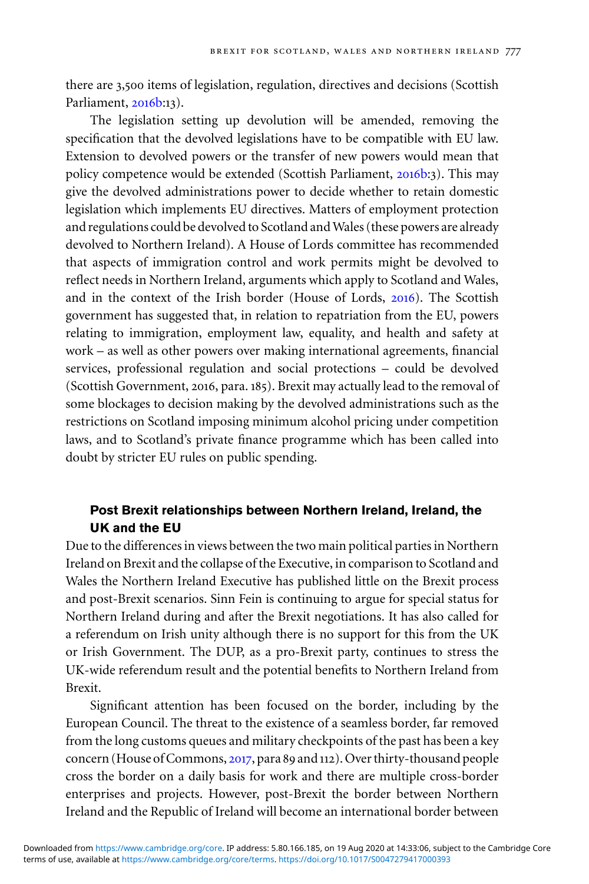there are 3,500 items of legislation, regulation, directives and decisions (Scottish Parliament, [2016](#page-16-0)b:13).

The legislation setting up devolution will be amended, removing the specification that the devolved legislations have to be compatible with EU law. Extension to devolved powers or the transfer of new powers would mean that policy competence would be extended (Scottish Parliament, [2016](#page-16-0)b:3). This may give the devolved administrations power to decide whether to retain domestic legislation which implements EU directives. Matters of employment protection and regulations could be devolved to Scotland and Wales (these powers are already devolved to Northern Ireland). A House of Lords committee has recommended that aspects of immigration control and work permits might be devolved to reflect needs in Northern Ireland, arguments which apply to Scotland and Wales, and in the context of the Irish border (House of Lords, [2016](#page-15-0)). The Scottish government has suggested that, in relation to repatriation from the EU, powers relating to immigration, employment law, equality, and health and safety at work – as well as other powers over making international agreements, financial services, professional regulation and social protections – could be devolved (Scottish Government, 2016, para. 185). Brexit may actually lead to the removal of some blockages to decision making by the devolved administrations such as the restrictions on Scotland imposing minimum alcohol pricing under competition laws, and to Scotland's private finance programme which has been called into doubt by stricter EU rules on public spending.

# **Post Brexit relationships between Northern Ireland, Ireland, the UK and the EU**

Due to the differences in views between the two main political parties in Northern Ireland on Brexit and the collapse of the Executive, in comparison to Scotland and Wales the Northern Ireland Executive has published little on the Brexit process and post-Brexit scenarios. Sinn Fein is continuing to argue for special status for Northern Ireland during and after the Brexit negotiations. It has also called for a referendum on Irish unity although there is no support for this from the UK or Irish Government. The DUP, as a pro-Brexit party, continues to stress the UK-wide referendum result and the potential benefits to Northern Ireland from Brexit.

Significant attention has been focused on the border, including by the European Council. The threat to the existence of a seamless border, far removed from the long customs queues and military checkpoints of the past has been a key concern (House of Commons, [2017](#page-15-0), para 89 and 112). Over thirty-thousand people cross the border on a daily basis for work and there are multiple cross-border enterprises and projects. However, post-Brexit the border between Northern Ireland and the Republic of Ireland will become an international border between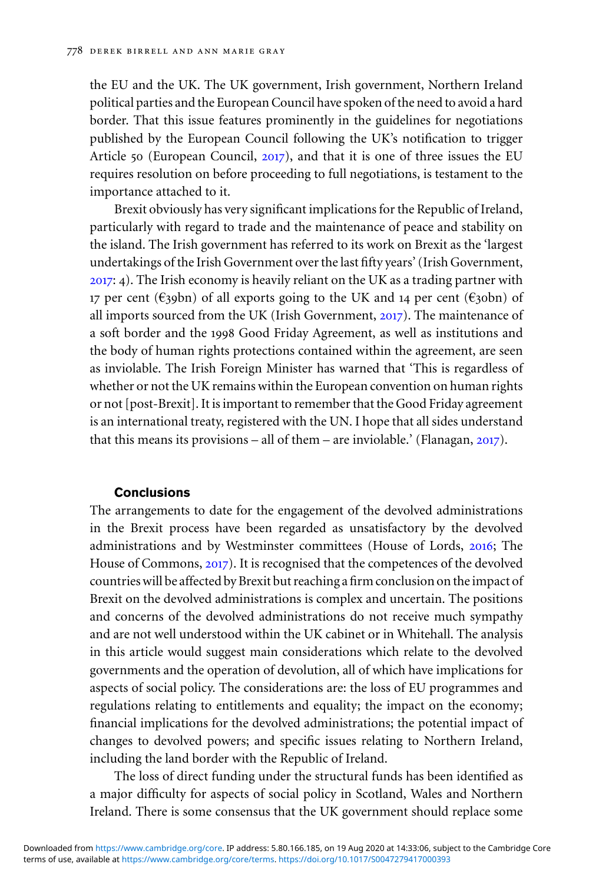the EU and the UK. The UK government, Irish government, Northern Ireland political parties and the European Council have spoken of the need to avoid a hard border. That this issue features prominently in the guidelines for negotiations published by the European Council following the UK's notification to trigger Article 50 (European Council, [2017](#page-15-0)), and that it is one of three issues the EU requires resolution on before proceeding to full negotiations, is testament to the importance attached to it.

Brexit obviously has very significant implications for the Republic of Ireland, particularly with regard to trade and the maintenance of peace and stability on the island. The Irish government has referred to its work on Brexit as the 'largest undertakings of the Irish Government over the last fifty years' (Irish Government, [2017](#page-15-0): 4). The Irish economy is heavily reliant on the UK as a trading partner with 17 per cent (€39bn) of all exports going to the UK and 14 per cent (€30bn) of all imports sourced from the UK (Irish Government, [2017](#page-15-0)). The maintenance of a soft border and the 1998 Good Friday Agreement, as well as institutions and the body of human rights protections contained within the agreement, are seen as inviolable. The Irish Foreign Minister has warned that 'This is regardless of whether or not the UK remains within the European convention on human rights or not [post-Brexit]. It is important to remember that the Good Friday agreement is an international treaty, registered with the UN. I hope that all sides understand that this means its provisions – all of them – are inviolable.' (Flanagan,  $2017$ ).

#### **Conclusions**

The arrangements to date for the engagement of the devolved administrations in the Brexit process have been regarded as unsatisfactory by the devolved administrations and by Westminster committees (House of Lords, [2016](#page-15-0); The House of Commons, [2017](#page-15-0)). It is recognised that the competences of the devolved countries will be affected by Brexit but reaching a firm conclusion on the impact of Brexit on the devolved administrations is complex and uncertain. The positions and concerns of the devolved administrations do not receive much sympathy and are not well understood within the UK cabinet or in Whitehall. The analysis in this article would suggest main considerations which relate to the devolved governments and the operation of devolution, all of which have implications for aspects of social policy. The considerations are: the loss of EU programmes and regulations relating to entitlements and equality; the impact on the economy; financial implications for the devolved administrations; the potential impact of changes to devolved powers; and specific issues relating to Northern Ireland, including the land border with the Republic of Ireland.

The loss of direct funding under the structural funds has been identified as a major difficulty for aspects of social policy in Scotland, Wales and Northern Ireland. There is some consensus that the UK government should replace some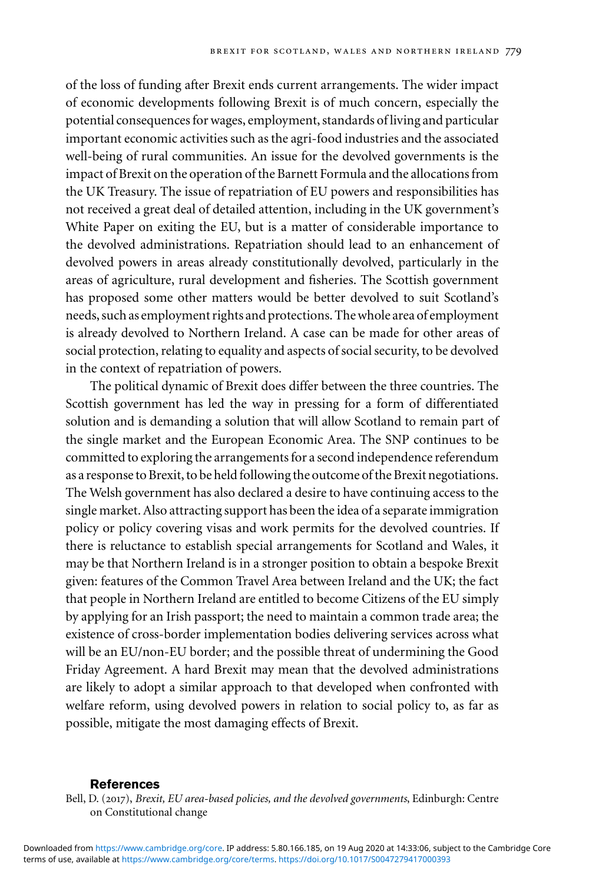<span id="page-14-0"></span>of the loss of funding after Brexit ends current arrangements. The wider impact of economic developments following Brexit is of much concern, especially the potential consequences for wages, employment, standards of living and particular important economic activities such as the agri-food industries and the associated well-being of rural communities. An issue for the devolved governments is the impact of Brexit on the operation of the Barnett Formula and the allocations from the UK Treasury. The issue of repatriation of EU powers and responsibilities has not received a great deal of detailed attention, including in the UK government's White Paper on exiting the EU, but is a matter of considerable importance to the devolved administrations. Repatriation should lead to an enhancement of devolved powers in areas already constitutionally devolved, particularly in the areas of agriculture, rural development and fisheries. The Scottish government has proposed some other matters would be better devolved to suit Scotland's needs, such as employment rights and protections. The whole area of employment is already devolved to Northern Ireland. A case can be made for other areas of social protection, relating to equality and aspects of social security, to be devolved in the context of repatriation of powers.

The political dynamic of Brexit does differ between the three countries. The Scottish government has led the way in pressing for a form of differentiated solution and is demanding a solution that will allow Scotland to remain part of the single market and the European Economic Area. The SNP continues to be committed to exploring the arrangements for a second independence referendum as a response to Brexit, to be held following the outcome of the Brexit negotiations. The Welsh government has also declared a desire to have continuing access to the single market. Also attracting support has been the idea of a separate immigration policy or policy covering visas and work permits for the devolved countries. If there is reluctance to establish special arrangements for Scotland and Wales, it may be that Northern Ireland is in a stronger position to obtain a bespoke Brexit given: features of the Common Travel Area between Ireland and the UK; the fact that people in Northern Ireland are entitled to become Citizens of the EU simply by applying for an Irish passport; the need to maintain a common trade area; the existence of cross-border implementation bodies delivering services across what will be an EU/non-EU border; and the possible threat of undermining the Good Friday Agreement. A hard Brexit may mean that the devolved administrations are likely to adopt a similar approach to that developed when confronted with welfare reform, using devolved powers in relation to social policy to, as far as possible, mitigate the most damaging effects of Brexit.

#### **References**

Bell, D. (2017), *Brexit, EU area-based policies, and the devolved governments*, Edinburgh: Centre on Constitutional change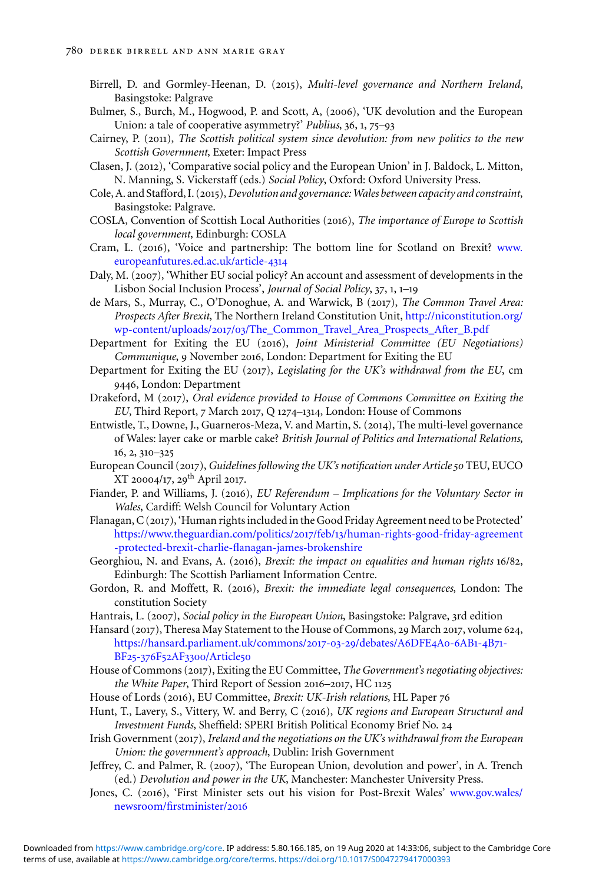- <span id="page-15-0"></span>Birrell, D. and Gormley-Heenan, D. (2015), *Multi-level governance and Northern Ireland*, Basingstoke: Palgrave
- Bulmer, S., Burch, M., Hogwood, P. and Scott, A, (2006), 'UK devolution and the European Union: a tale of cooperative asymmetry?' *Publius*, 36, 1, 75–93
- Cairney, P. (2011), *The Scottish political system since devolution: from new politics to the new Scottish Government*, Exeter: Impact Press
- Clasen, J. (2012), 'Comparative social policy and the European Union' in J. Baldock, L. Mitton, N. Manning, S. Vickerstaff (eds.) *Social Policy*, Oxford: Oxford University Press.
- Cole, A. and Stafford, I. (2015),*Devolution and governance: Wales between capacity and constraint*, Basingstoke: Palgrave.
- COSLA, Convention of Scottish Local Authorities (2016), *The importance of Europe to Scottish local government*, Edinburgh: COSLA
- Cram, L. (2016), 'Voice and partnership: The bottom line for Scotland on Brexit? [www.](http://www.europeanfutures.ed.ac.uk/article-4314) [europeanfutures.ed.ac.uk/article-](http://www.europeanfutures.ed.ac.uk/article-4314)4314
- Daly, M. (2007), 'Whither EU social policy? An account and assessment of developments in the Lisbon Social Inclusion Process', *Journal of Social Policy*, 37, 1, 1–19
- de Mars, S., Murray, C., O'Donoghue, A. and Warwick, B (2017), *The Common Travel Area: Prospects After Brexit*, The Northern Ireland Constitution Unit, [http://niconstitution.org/](http://niconstitution.org/wp-content/uploads/2017/03/The_Common_Travel_Area_Prospects_After_B.pdf) wp-content/uploads/2017/03[/The\\_Common\\_Travel\\_Area\\_Prospects\\_After\\_B.pdf](http://niconstitution.org/wp-content/uploads/2017/03/The_Common_Travel_Area_Prospects_After_B.pdf)

Department for Exiting the EU (2016), *Joint Ministerial Committee (EU Negotiations) Communique*, 9 November 2016, London: Department for Exiting the EU

- Department for Exiting the EU (2017), *Legislating for the UK's withdrawal from the EU*, cm 9446, London: Department
- Drakeford, M (2017), *Oral evidence provided to House of Commons Committee on Exiting the EU*, Third Report, 7 March 2017, Q 1274–1314, London: House of Commons
- Entwistle, T., Downe, J., Guarneros-Meza, V. and Martin, S. (2014), The multi-level governance of Wales: layer cake or marble cake? *British Journal of Politics and International Relations*, 16, 2, 310–325
- European Council (2017), *Guidelines following the UK's notification under Article50* TEU, EUCO  $XT 20004/17$ , 29<sup>th</sup> April 2017.
- Fiander, P. and Williams, J. (2016), *EU Referendum Implications for the Voluntary Sector in Wales*, Cardiff: Welsh Council for Voluntary Action
- Flanagan, C (2017), 'Human rights included in the Good Friday Agreement need to be Protected' [https://www.theguardian.com/politics/](https://www.theguardian.com/politics/2017/feb/13/human-rights-good-friday-agreement-protected-brexit-charlie-flanagan-james-brokenshire)2017/feb/13/human-rights-good-friday-agreement [-protected-brexit-charlie-flanagan-james-brokenshire](https://www.theguardian.com/politics/2017/feb/13/human-rights-good-friday-agreement-protected-brexit-charlie-flanagan-james-brokenshire)
- Georghiou, N. and Evans, A. (2016), *Brexit: the impact on equalities and human rights* 16/82, Edinburgh: The Scottish Parliament Information Centre.
- Gordon, R. and Moffett, R. (2016), *Brexit: the immediate legal consequences*, London: The constitution Society
- Hantrais, L. (2007), *Social policy in the European Union*, Basingstoke: Palgrave, 3rd edition

Hansard (2017), Theresa May Statement to the House of Commons, 29 March 2017, volume 624, [https://hansard.parliament.uk/commons/](https://hansard.parliament.uk/commons/2017-03-29/debates/A6DFE4A0-6AB1-4B71-BF25-376F52AF3300/Article50)2017-03-29/debates/A6DFE4A0-6AB1-4B71- BF25-376F52AF3300[/Article](https://hansard.parliament.uk/commons/2017-03-29/debates/A6DFE4A0-6AB1-4B71-BF25-376F52AF3300/Article50)50

- House of Commons (2017), Exiting the EU Committee, *The Government's negotiating objectives: the White Paper*, Third Report of Session 2016–2017, HC 1125
- House of Lords (2016), EU Committee, *Brexit: UK-Irish relations*, HL Paper 76
- Hunt, T., Lavery, S., Vittery, W. and Berry, C (2016), *UK regions and European Structural and Investment Funds*, Sheffield: SPERI British Political Economy Brief No. 24
- Irish Government (2017), *Ireland and the negotiations on the UK's withdrawal from the European Union: the government's approach*, Dublin: Irish Government
- Jeffrey, C. and Palmer, R. (2007), 'The European Union, devolution and power', in A. Trench (ed.) *Devolution and power in the UK*, Manchester: Manchester University Press.
- Jones, C. (2016), 'First Minister sets out his vision for Post-Brexit Wales' [www.gov.wales/](http://www.gov.wales/newsroom/firstminister/2016) [newsroom/firstminister/](http://www.gov.wales/newsroom/firstminister/2016)2016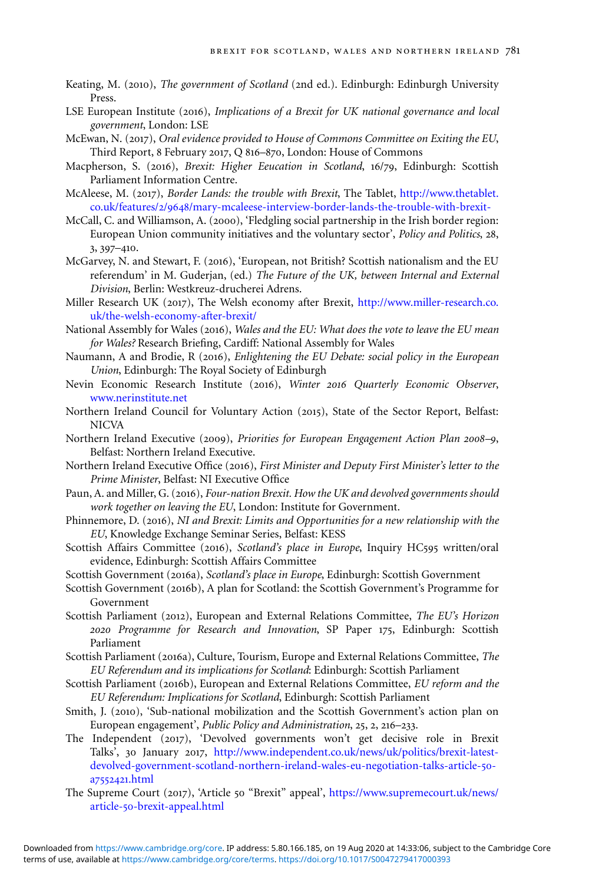- <span id="page-16-0"></span>Keating, M. (2010), *The government of Scotland* (2nd ed.). Edinburgh: Edinburgh University Press.
- LSE European Institute (2016), *Implications of a Brexit for UK national governance and local government*, London: LSE
- McEwan, N. (2017), *Oral evidence provided to House of Commons Committee on Exiting the EU*, Third Report, 8 February 2017, Q 816–870, London: House of Commons
- Macpherson, S. (2016), *Brexit: Higher Eeucation in Scotland*, 16/79, Edinburgh: Scottish Parliament Information Centre.
- McAleese, M. (2017), *Border Lands: the trouble with Brexit*, The Tablet, [http://www.thetablet.](http://www.thetablet.co.uk/features/2/9648/mary-mcaleese-interview-border-lands-the-trouble-with-brexit-) co.uk/features/2/9648[/mary-mcaleese-interview-border-lands-the-trouble-with-brexit-](http://www.thetablet.co.uk/features/2/9648/mary-mcaleese-interview-border-lands-the-trouble-with-brexit-)
- McCall, C. and Williamson, A. (2000), 'Fledgling social partnership in the Irish border region: European Union community initiatives and the voluntary sector', *Policy and Politics*, 28, 3, 397–410.
- McGarvey, N. and Stewart, F. (2016), 'European, not British? Scottish nationalism and the EU referendum' in M. Guderjan, (ed.) *The Future of the UK, between Internal and External Division*, Berlin: Westkreuz-drucherei Adrens.
- Miller Research UK (2017), The Welsh economy after Brexit, [http://www.miller-research.co.](http://www.miller-research.co.uk/the-welsh-economy-after-brexit/) [uk/the-welsh-economy-after-brexit/](http://www.miller-research.co.uk/the-welsh-economy-after-brexit/)
- National Assembly for Wales (2016), *Wales and the EU: What does the vote to leave the EU mean for Wales?* Research Briefing, Cardiff: National Assembly for Wales
- Naumann, A and Brodie, R (2016), *Enlightening the EU Debate: social policy in the European Union*, Edinburgh: The Royal Society of Edinburgh
- Nevin Economic Research Institute (2016), *Winter 2016 Quarterly Economic Observer*, [www.nerinstitute.net](http://www.nerinstitute.net)
- Northern Ireland Council for Voluntary Action (2015), State of the Sector Report, Belfast: NICVA
- Northern Ireland Executive (2009), *Priorities for European Engagement Action Plan 2008–9*, Belfast: Northern Ireland Executive.
- Northern Ireland Executive Office (2016), *First Minister and Deputy First Minister's letter to the Prime Minister*, Belfast: NI Executive Office
- Paun, A. and Miller, G. (2016), *Four-nation Brexit. How the UK and devolved governments should work together on leaving the EU*, London: Institute for Government.
- Phinnemore, D. (2016), *NI and Brexit: Limits and Opportunities for a new relationship with the EU*, Knowledge Exchange Seminar Series, Belfast: KESS
- Scottish Affairs Committee (2016), *Scotland's place in Europe*, Inquiry HC595 written/oral evidence, Edinburgh: Scottish Affairs Committee
- Scottish Government (2016a), *Scotland's place in Europe*, Edinburgh: Scottish Government
- Scottish Government (2016b), A plan for Scotland: the Scottish Government's Programme for Government
- Scottish Parliament (2012), European and External Relations Committee, *The EU's Horizon 2020 Programme for Research and Innovation*, SP Paper 175, Edinburgh: Scottish Parliament
- Scottish Parliament (2016a), Culture, Tourism, Europe and External Relations Committee, *The EU Referendum and its implications for Scotland*: Edinburgh: Scottish Parliament
- Scottish Parliament (2016b), European and External Relations Committee, *EU reform and the EU Referendum: Implications for Scotland*, Edinburgh: Scottish Parliament
- Smith, J. (2010), 'Sub-national mobilization and the Scottish Government's action plan on European engagement', *Public Policy and Administration*, 25, 2, 216–233.
- The Independent (2017), 'Devolved governments won't get decisive role in Brexit Talks', 30 January 2017, [http://www.independent.co.uk/news/uk/politics/brexit-latest](http://www.independent.co.uk/news/uk/politics/brexit-latest-devolved-government-scotland-northern-ireland-wales-eu-negotiation-talks-article-50-a7552421.html)[devolved-government-scotland-northern-ireland-wales-eu-negotiation-talks-article-](http://www.independent.co.uk/news/uk/politics/brexit-latest-devolved-government-scotland-northern-ireland-wales-eu-negotiation-talks-article-50-a7552421.html)50 a[7552421](http://www.independent.co.uk/news/uk/politics/brexit-latest-devolved-government-scotland-northern-ireland-wales-eu-negotiation-talks-article-50-a7552421.html).html
- The Supreme Court (2017), 'Article 50 "Brexit" appeal', [https://www.supremecourt.uk/news/](https://www.supremecourt.uk/news/article-50-brexit-appeal.html) article-50[-brexit-appeal.html](https://www.supremecourt.uk/news/article-50-brexit-appeal.html)